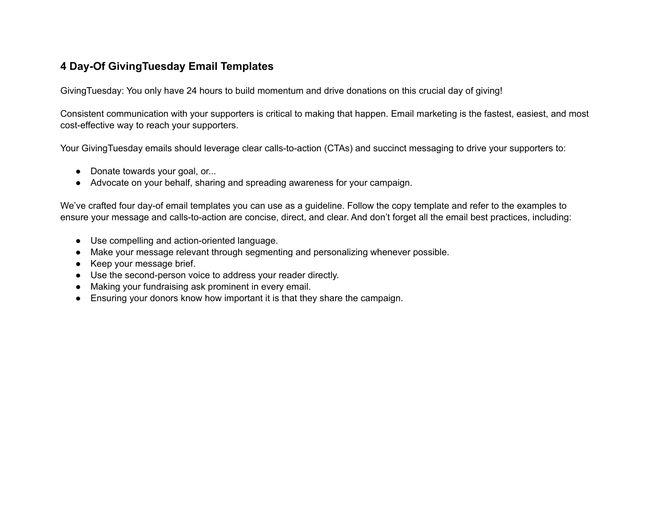## **4 Day-Of GivingTuesday Email Templates**

GivingTuesday: You only have 24 hours to build momentum and drive donations on this crucial day of giving!

Consistent communication with your supporters is critical to making that happen. Email marketing is the fastest, easiest, and most cost-effective way to reach your supporters.

Your GivingTuesday emails should leverage clear calls-to-action (CTAs) and succinct messaging to drive your supporters to:

- Donate towards your goal, or...
- Advocate on your behalf, sharing and spreading awareness for your campaign.

We've crafted four day-of email templates you can use as a guideline. Follow the copy template and refer to the examples to ensure your message and calls-to-action are concise, direct, and clear. And don't forget all the email best practices, including:

- Use compelling and action-oriented language.
- Make your message relevant through segmenting and personalizing whenever possible.
- Keep your message brief.
- Use the second-person voice to address your reader directly.
- Making your fundraising ask prominent in every email.
- Ensuring your donors know how important it is that they share the campaign.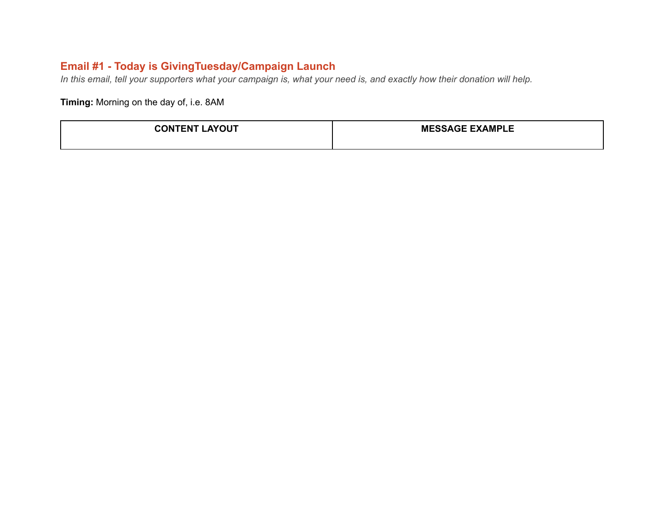# **Email #1 - Today is GivingTuesday/Campaign Launch**

*In this email, tell your supporters what your campaign is, what your need is, and exactly how their donation will help.*

**Timing:** Morning on the day of, i.e. 8AM

| <b>AYOUT</b><br><b>CONTENT I</b> | <b>MESSAGE EXAMPLE</b> |
|----------------------------------|------------------------|
|                                  |                        |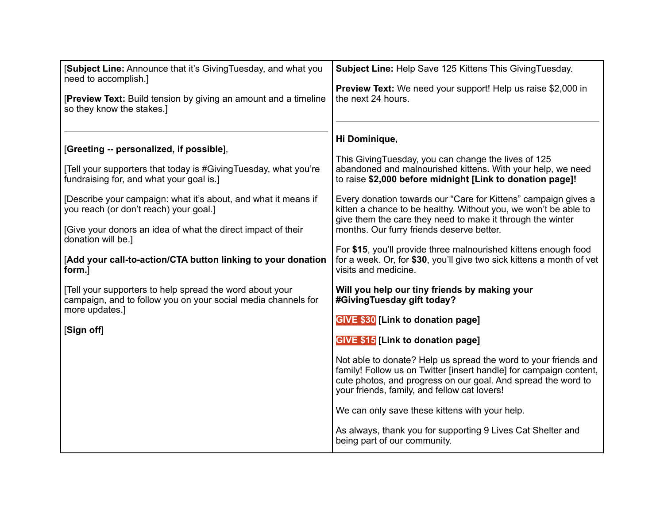| [Subject Line: Announce that it's Giving Tuesday, and what you<br>need to accomplish.]                                                                                   | Subject Line: Help Save 125 Kittens This Giving Tuesday.                                                                                                                                                                                               |
|--------------------------------------------------------------------------------------------------------------------------------------------------------------------------|--------------------------------------------------------------------------------------------------------------------------------------------------------------------------------------------------------------------------------------------------------|
| [Preview Text: Build tension by giving an amount and a timeline<br>so they know the stakes.]                                                                             | <b>Preview Text:</b> We need your support! Help us raise \$2,000 in<br>the next 24 hours.                                                                                                                                                              |
| [Greeting -- personalized, if possible],<br>[Tell your supporters that today is #Giving Tuesday, what you're<br>fundraising for, and what your goal is.]                 | Hi Dominique,<br>This Giving Tuesday, you can change the lives of 125<br>abandoned and malnourished kittens. With your help, we need<br>to raise \$2,000 before midnight [Link to donation page]!                                                      |
| [Describe your campaign: what it's about, and what it means if<br>you reach (or don't reach) your goal.]<br>[Give your donors an idea of what the direct impact of their | Every donation towards our "Care for Kittens" campaign gives a<br>kitten a chance to be healthy. Without you, we won't be able to<br>give them the care they need to make it through the winter<br>months. Our furry friends deserve better.           |
| donation will be.]<br>[Add your call-to-action/CTA button linking to your donation<br>form.]                                                                             | For \$15, you'll provide three malnourished kittens enough food<br>for a week. Or, for \$30, you'll give two sick kittens a month of vet<br>visits and medicine.                                                                                       |
| [Tell your supporters to help spread the word about your<br>campaign, and to follow you on your social media channels for<br>more updates.]                              | Will you help our tiny friends by making your<br>#GivingTuesday gift today?                                                                                                                                                                            |
| [Sign off]                                                                                                                                                               | GIVE \$30 [Link to donation page]<br><b>GIVE \$15 [Link to donation page]</b>                                                                                                                                                                          |
|                                                                                                                                                                          | Not able to donate? Help us spread the word to your friends and<br>family! Follow us on Twitter [insert handle] for campaign content,<br>cute photos, and progress on our goal. And spread the word to<br>your friends, family, and fellow cat lovers! |
|                                                                                                                                                                          | We can only save these kittens with your help.                                                                                                                                                                                                         |
|                                                                                                                                                                          | As always, thank you for supporting 9 Lives Cat Shelter and<br>being part of our community.                                                                                                                                                            |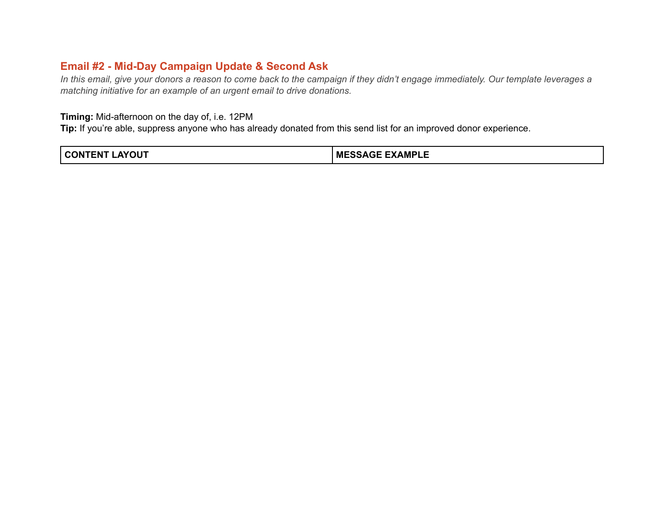## **Email #2 - Mid-Day Campaign Update & Second Ask**

*In this email, give your donors a reason to come back to the campaign if they didn't engage immediately. Our template leverages a matching initiative for an example of an urgent email to drive donations.* 

#### **Timing:** Mid-afternoon on the day of, i.e. 12PM

**Tip:** If you're able, suppress anyone who has already donated from this send list for an improved donor experience.

| <b>_AYOUT</b><br><b>CONTENT'</b> | <b>MESSAGE EXAMPLE</b> |
|----------------------------------|------------------------|
|----------------------------------|------------------------|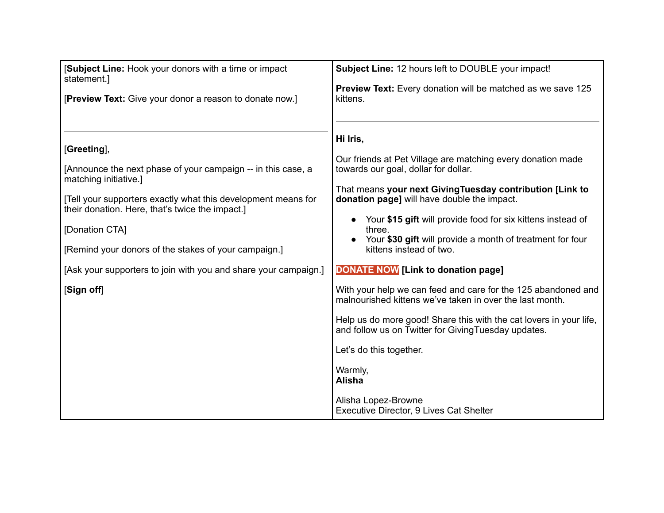| [Subject Line: Hook your donors with a time or impact<br>statement.]                                                                                                                                                                                                                                                                                                                | Subject Line: 12 hours left to DOUBLE your impact!                                                                                                                                                                                                                                                                                                                                                                                                                                                                                                                                                                                                                                                                                                                                                                            |
|-------------------------------------------------------------------------------------------------------------------------------------------------------------------------------------------------------------------------------------------------------------------------------------------------------------------------------------------------------------------------------------|-------------------------------------------------------------------------------------------------------------------------------------------------------------------------------------------------------------------------------------------------------------------------------------------------------------------------------------------------------------------------------------------------------------------------------------------------------------------------------------------------------------------------------------------------------------------------------------------------------------------------------------------------------------------------------------------------------------------------------------------------------------------------------------------------------------------------------|
| [Preview Text: Give your donor a reason to donate now.]                                                                                                                                                                                                                                                                                                                             | Preview Text: Every donation will be matched as we save 125<br>kittens.                                                                                                                                                                                                                                                                                                                                                                                                                                                                                                                                                                                                                                                                                                                                                       |
| [Greeting],<br>[Announce the next phase of your campaign -- in this case, a<br>matching initiative.]<br>[Tell your supporters exactly what this development means for<br>their donation. Here, that's twice the impact.]<br>[Donation CTA]<br>[Remind your donors of the stakes of your campaign.]<br>[Ask your supporters to join with you and share your campaign.]<br>[Sign off] | Hi Iris,<br>Our friends at Pet Village are matching every donation made<br>towards our goal, dollar for dollar.<br>That means your next Giving Tuesday contribution [Link to<br>donation page] will have double the impact.<br>Your \$15 gift will provide food for six kittens instead of<br>three.<br>Your \$30 gift will provide a month of treatment for four<br>kittens instead of two.<br><b>DONATE NOW [Link to donation page]</b><br>With your help we can feed and care for the 125 abandoned and<br>malnourished kittens we've taken in over the last month.<br>Help us do more good! Share this with the cat lovers in your life,<br>and follow us on Twitter for Giving Tuesday updates.<br>Let's do this together.<br>Warmly,<br><b>Alisha</b><br>Alisha Lopez-Browne<br>Executive Director, 9 Lives Cat Shelter |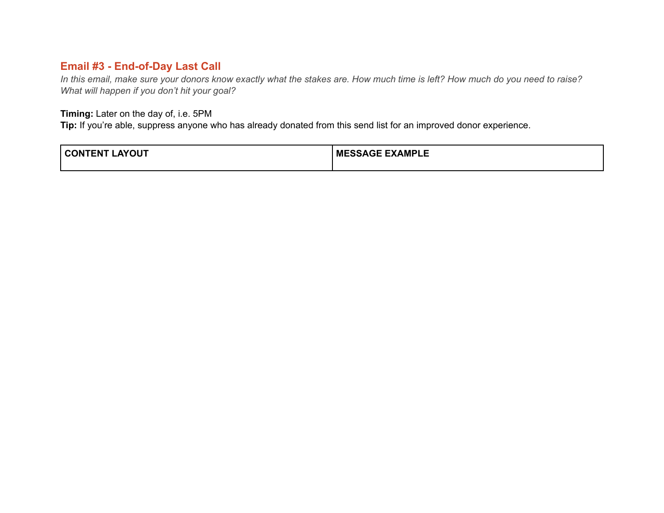## **Email #3 - End-of-Day Last Call**

*In this email, make sure your donors know exactly what the stakes are. How much time is left? How much do you need to raise? What will happen if you don't hit your goal?*

#### **Timing:** Later on the day of, i.e. 5PM

**Tip:** If you're able, suppress anyone who has already donated from this send list for an improved donor experience.

| <b>TENT</b><br><b>_AYOUT</b><br>CON. | <b>GE EXAMPLE</b><br><b>ME</b><br>SAGE |
|--------------------------------------|----------------------------------------|
|                                      |                                        |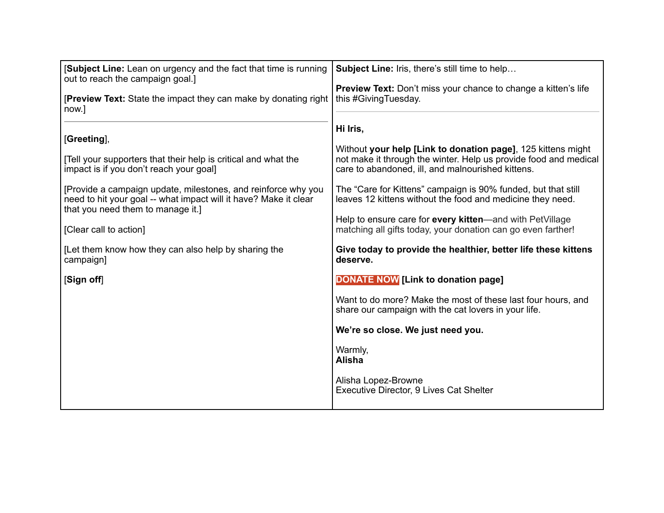| <b>Subject Line:</b> Lean on urgency and the fact that time is running<br>out to reach the campaign goal.]                                                             | Subject Line: Iris, there's still time to help                                                                                                                                                    |
|------------------------------------------------------------------------------------------------------------------------------------------------------------------------|---------------------------------------------------------------------------------------------------------------------------------------------------------------------------------------------------|
| <b>[Preview Text:</b> State the impact they can make by donating right<br>now.]                                                                                        | <b>Preview Text:</b> Don't miss your chance to change a kitten's life<br>this #GivingTuesday.                                                                                                     |
| [Greeting],<br>[Tell your supporters that their help is critical and what the<br>impact is if you don't reach your goal]                                               | Hi Iris,<br>Without your help [Link to donation page], 125 kittens might<br>not make it through the winter. Help us provide food and medical<br>care to abandoned, ill, and malnourished kittens. |
| [Provide a campaign update, milestones, and reinforce why you<br>need to hit your goal -- what impact will it have? Make it clear<br>that you need them to manage it.] | The "Care for Kittens" campaign is 90% funded, but that still<br>leaves 12 kittens without the food and medicine they need.                                                                       |
| [Clear call to action]                                                                                                                                                 | Help to ensure care for every kitten—and with PetVillage<br>matching all gifts today, your donation can go even farther!                                                                          |
| [Let them know how they can also help by sharing the<br>campaign]                                                                                                      | Give today to provide the healthier, better life these kittens<br>deserve.                                                                                                                        |
| [Sign off]                                                                                                                                                             | <b>DONATE NOW [Link to donation page]</b>                                                                                                                                                         |
|                                                                                                                                                                        | Want to do more? Make the most of these last four hours, and<br>share our campaign with the cat lovers in your life.                                                                              |
|                                                                                                                                                                        | We're so close. We just need you.                                                                                                                                                                 |
|                                                                                                                                                                        | Warmly,<br><b>Alisha</b>                                                                                                                                                                          |
|                                                                                                                                                                        | Alisha Lopez-Browne<br>Executive Director, 9 Lives Cat Shelter                                                                                                                                    |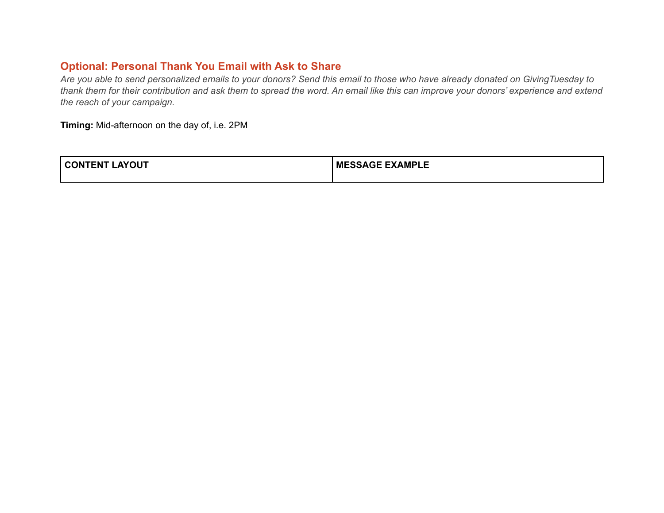## **Optional: Personal Thank You Email with Ask to Share**

*Are you able to send personalized emails to your donors? Send this email to those who have already donated on GivingTuesday to thank them for their contribution and ask them to spread the word. An email like this can improve your donors' experience and extend the reach of your campaign.*

**Timing:** Mid-afternoon on the day of, i.e. 2PM

| <b>AVOLIT</b><br>------<br>ו היא<br>'OU.<br>. EN ' | <b>E EXAMPLE</b><br>МF<br>avit 1 |
|----------------------------------------------------|----------------------------------|
|                                                    |                                  |